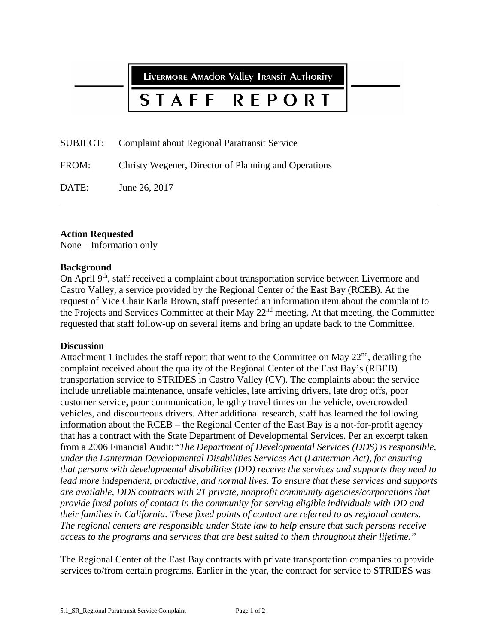LIVERMORE AMAdOR VAllEY TRANSIT AUTHORITY

### STAFF REPORT

SUBJECT: Complaint about Regional Paratransit Service

FROM: Christy Wegener, Director of Planning and Operations

DATE: June 26, 2017

# **Action Requested**

None – Information only

# **Background**

On April 9<sup>th</sup>, staff received a complaint about transportation service between Livermore and Castro Valley, a service provided by the Regional Center of the East Bay (RCEB). At the request of Vice Chair Karla Brown, staff presented an information item about the complaint to the Projects and Services Committee at their May 22nd meeting. At that meeting, the Committee requested that staff follow-up on several items and bring an update back to the Committee.

### **Discussion**

Attachment 1 includes the staff report that went to the Committee on May  $22<sup>nd</sup>$ , detailing the complaint received about the quality of the Regional Center of the East Bay's (RBEB) transportation service to STRIDES in Castro Valley (CV). The complaints about the service include unreliable maintenance, unsafe vehicles, late arriving drivers, late drop offs, poor customer service, poor communication, lengthy travel times on the vehicle, overcrowded vehicles, and discourteous drivers. After additional research, staff has learned the following information about the RCEB – the Regional Center of the East Bay is a not-for-profit agency that has a contract with the State Department of Developmental Services. Per an excerpt taken from a 2006 Financial Audit:*"The Department of Developmental Services (DDS) is responsible, under the Lanterman Developmental Disabilities Services Act (Lanterman Act), for ensuring that persons with developmental disabilities (DD) receive the services and supports they need to lead more independent, productive, and normal lives. To ensure that these services and supports are available, DDS contracts with 21 private, nonprofit community agencies/corporations that provide fixed points of contact in the community for serving eligible individuals with DD and their families in California. These fixed points of contact are referred to as regional centers. The regional centers are responsible under State law to help ensure that such persons receive access to the programs and services that are best suited to them throughout their lifetime."*

The Regional Center of the East Bay contracts with private transportation companies to provide services to/from certain programs. Earlier in the year, the contract for service to STRIDES was